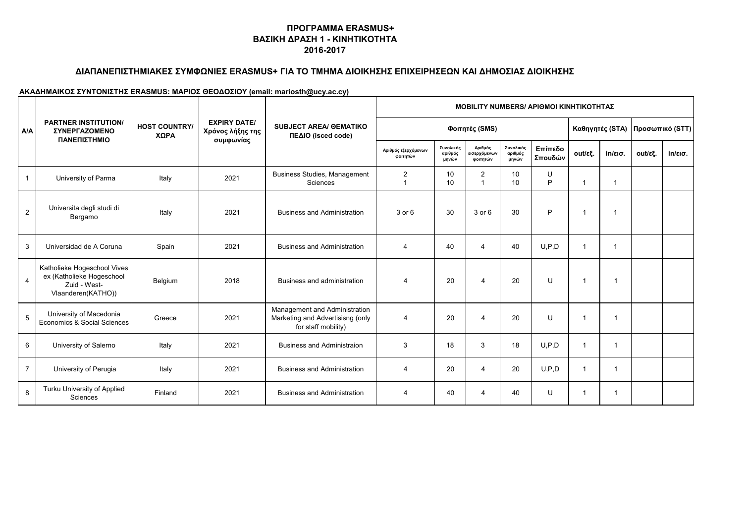## **ΔΙΑΠΑΝΕΠΙΣΤΗΜΙΑΚΕΣ ΣΥΜΦΩΝΙΕΣ ERASMUS+ ΓΙΑ ΤΟ ΤΜΗΜΑ ΔΙΟΙΚΗΣΗΣ ΕΠΙΧΕΙΡΗΣΕΩΝ ΚΑΙ ΔΗΜΟΣΙΑΣ ΔΙΟΙΚΗΣΗΣ**

|                |                                                                                                |                              |                                                      |                                                                                          |                                 | <b>ΜΟΒΙLIΤΥ NUMBERS/ ΑΡΙΘΜΟΙ ΚΙΝΗΤΙΚΟΤΗΤΑΣ</b> |                                     |                               |                    |                |                   |                 |                   |  |
|----------------|------------------------------------------------------------------------------------------------|------------------------------|------------------------------------------------------|------------------------------------------------------------------------------------------|---------------------------------|------------------------------------------------|-------------------------------------|-------------------------------|--------------------|----------------|-------------------|-----------------|-------------------|--|
| A/A            | <b>PARTNER INSTITUTION/</b><br><b><i>EYNEPFAZOMENO</i></b>                                     | <b>HOST COUNTRY/</b><br>ΧΩΡΑ | <b>EXPIRY DATE/</b><br>Χρόνος λήξης της<br>συμφωνίας | <b>SUBJECT AREA/ OEMATIKO</b><br>ΠΕΔΙΟ (isced code)                                      |                                 |                                                | Φοιτητές (SMS)                      |                               |                    |                | Καθηγητές (STA)   | Προσωπικό (STT) |                   |  |
|                | ΠΑΝΕΠΙΣΤΗΜΙΟ                                                                                   |                              |                                                      |                                                                                          | Αριθμός εξερχόμενων<br>φοιτητών | Συνολικός<br>αριθμός<br>μηνών                  | Αριθμός<br>εισερχόμενων<br>φοιτητών | Συνολικός<br>αριθμός<br>μηνών | Επίπεδο<br>Σπουδών | out/εξ.        | $in/\epsilon$ ισ. | out/εξ.         | $in/\epsilon$ ισ. |  |
| $\mathbf{1}$   | University of Parma                                                                            | Italy                        | 2021                                                 | <b>Business Studies, Management</b><br>Sciences                                          | 2                               | 10<br>10                                       | $\overline{2}$                      | 10<br>10                      | U<br>P             | $\mathbf 1$    | 1                 |                 |                   |  |
| $\overline{2}$ | Universita degli studi di<br>Bergamo                                                           | Italy                        | 2021                                                 | <b>Business and Administration</b>                                                       | $3$ or $6$                      | 30                                             | 3 or 6                              | 30                            | P                  | $\overline{1}$ | 1                 |                 |                   |  |
| 3              | Universidad de A Coruna                                                                        | Spain                        | 2021                                                 | <b>Business and Administration</b>                                                       | $\overline{4}$                  | 40                                             | $\overline{4}$                      | 40                            | U.P.D              | -1             | $\mathbf{1}$      |                 |                   |  |
| 4              | Katholieke Hogeschool Vives<br>ex (Katholieke Hogeschool<br>Zuid - West-<br>Vlaanderen(KATHO)) | Belgium                      | 2018                                                 | Business and administration                                                              | 4                               | 20                                             | $\overline{4}$                      | 20                            | U                  | $\mathbf 1$    |                   |                 |                   |  |
| 5              | University of Macedonia<br>Economics & Social Sciences                                         | Greece                       | 2021                                                 | Management and Administration<br>Marketing and Advertisisng (only<br>for staff mobility) | 4                               | 20                                             | $\overline{4}$                      | 20                            | U                  | -1             | 1                 |                 |                   |  |
| 6              | University of Salerno                                                                          | Italy                        | 2021                                                 | <b>Business and Administraion</b>                                                        | 3                               | 18                                             | 3                                   | 18                            | U.P.D              | -1             |                   |                 |                   |  |
| $\overline{7}$ | University of Perugia                                                                          | Italy                        | 2021                                                 | <b>Business and Administration</b>                                                       | $\overline{4}$                  | 20                                             | $\overline{4}$                      | 20                            | U.P.D              | -1             | -1                |                 |                   |  |
| 8              | Turku University of Applied<br>Sciences                                                        | Finland                      | 2021                                                 | <b>Business and Administration</b>                                                       |                                 | 40                                             | $\overline{4}$                      | 40                            | U                  | -1             |                   |                 |                   |  |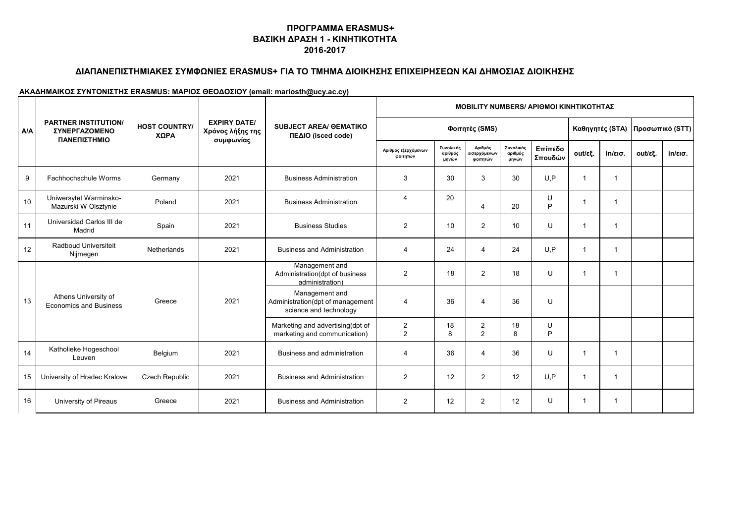# **ΔΙΑΠΑΝΕΠΙΣΤΗΜΙΑΚΕΣ ΣΥΜΦΩΝΙΕΣ ERASMUS+ ΓΙΑ ΤΟ ΤΜΗΜΑ ΔΙΟΙΚΗΣΗΣ ΕΠΙΧΕΙΡΗΣΕΩΝ ΚΑΙ ΔΗΜΟΣΙΑΣ ΔΙΟΙΚΗΣΗΣ**

|     | <b>PARTNER INSTITUTION/</b><br><b><i>EYNEPFAZOMENO</i></b><br>ΠΑΝΕΠΙΣΤΗΜΙΟ | <b>HOST COUNTRY/</b><br>ΧΩΡΑ |                                                      | <b>SUBJECT AREA/ OEMATIKO</b><br>ΠΕΔΙΟ (isced code)                          | <b>MOBILITY NUMBERS/ APIOMOI KINHTIKOTHTAZ</b> |                               |                                     |                               |                    |             |                   |         |                   |
|-----|----------------------------------------------------------------------------|------------------------------|------------------------------------------------------|------------------------------------------------------------------------------|------------------------------------------------|-------------------------------|-------------------------------------|-------------------------------|--------------------|-------------|-------------------|---------|-------------------|
| A/A |                                                                            |                              | <b>EXPIRY DATE/</b><br>Χρόνος λήξης της<br>συμφωνίας |                                                                              |                                                |                               | Φοιτητές (SMS)                      |                               |                    |             | Καθηγητές (STA)   |         | Προσωπικό (STT)   |
|     |                                                                            |                              |                                                      |                                                                              | Αριθμός εξερχόμενων<br>φοιτητών                | Συνολικός<br>αριθμός<br>μηνών | Αριθμός<br>εισερχόμενων<br>φοιτητών | Συνολικός<br>αριθμός<br>μηνών | Επίπεδο<br>Σπουδών | out/εξ.     | $in/\epsilon$ ισ. | out/εξ. | $in/\epsilon$ ισ. |
| 9   | Fachhochschule Worms                                                       | Germany                      | 2021                                                 | <b>Business Administration</b>                                               | 3                                              | 30                            | 3                                   | 30                            | U.P                | -1          | 1                 |         |                   |
| 10  | Uniwersytet Warminsko-<br>Mazurski W Olsztynie                             | Poland                       | 2021                                                 | <b>Business Administration</b>                                               | 4                                              | 20                            | $\overline{4}$                      | 20                            | U<br>P             | -1          |                   |         |                   |
| 11  | Universidad Carlos III de<br>Madrid                                        | Spain                        | 2021                                                 | <b>Business Studies</b>                                                      | $\overline{2}$                                 | 10                            | 2                                   | 10                            | U                  | -1          |                   |         |                   |
| 12  | Radboud Universiteit<br>Nijmegen                                           | Netherlands                  | 2021                                                 | <b>Business and Administration</b>                                           | 4                                              | 24                            | $\overline{4}$                      | 24                            | U.P                | $\mathbf 1$ | 1                 |         |                   |
|     | Athens University of<br><b>Economics and Business</b>                      | Greece                       | 2021                                                 | Management and<br>Administration(dpt of business<br>administration)          | $\overline{2}$                                 | 18                            | $\overline{2}$                      | 18                            | U                  | -1          | $\mathbf 1$       |         |                   |
| 13  |                                                                            |                              |                                                      | Management and<br>Administration(dpt of management<br>science and technology | 4                                              | 36                            | $\overline{4}$                      | 36                            | U                  |             |                   |         |                   |
|     |                                                                            |                              |                                                      | Marketing and advertising(dpt of<br>marketing and communication)             | 2<br>2                                         | 18<br>8                       | $\overline{2}$<br>2                 | 18<br>8                       | U<br>P             |             |                   |         |                   |
| 14  | Katholieke Hogeschool<br>Leuven                                            | Belgium                      | 2021                                                 | Business and administration                                                  | 4                                              | 36                            | $\overline{4}$                      | 36                            | $\cup$             | -1          | 1                 |         |                   |
| 15  | University of Hradec Kralove                                               | Czech Republic               | 2021                                                 | <b>Business and Administration</b>                                           | 2                                              | 12                            | 2                                   | 12                            | U.P                | -1          |                   |         |                   |
| 16  | University of Pireaus                                                      | Greece                       | 2021                                                 | <b>Business and Administration</b>                                           | 2                                              | 12                            | 2                                   | 12                            | U                  | -1          | 1                 |         |                   |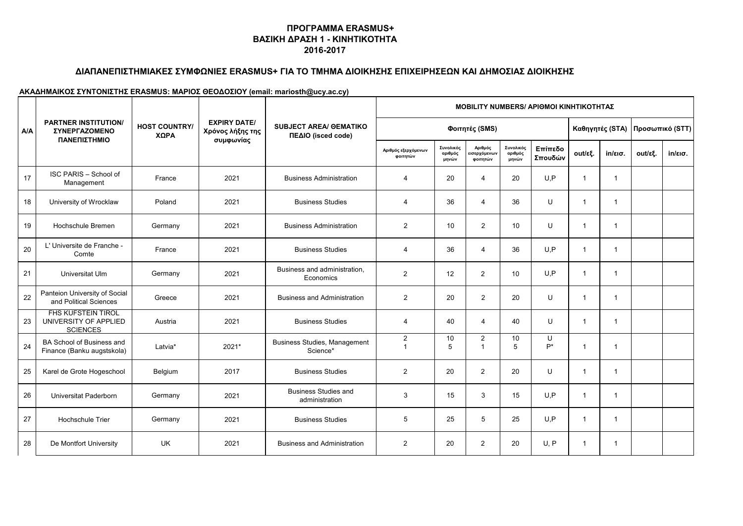# **ΔΙΑΠΑΝΕΠΙΣΤΗΜΙΑΚΕΣ ΣΥΜΦΩΝΙΕΣ ERASMUS+ ΓΙΑ ΤΟ ΤΜΗΜΑ ΔΙΟΙΚΗΣΗΣ ΕΠΙΧΕΙΡΗΣΕΩΝ ΚΑΙ ΔΗΜΟΣΙΑΣ ΔΙΟΙΚΗΣΗΣ**

|            | <b>PARTNER INSTITUTION/</b><br><b>ΣΥΝΕΡΓΑΖΟΜΕΝΟ</b><br>ΠΑΝΕΠΙΣΤΗΜΙΟ   | <b>HOST COUNTRY/</b><br>ΧΩΡΑ |                                                      | <b>SUBJECT AREA/ OEMATIKO</b><br>ΠΕΔΙΟ (isced code) | <b>MOBILITY NUMBERS/ APIOMOI KINHTIKOTHTAZ</b> |                                   |                                                   |                               |                    |                         |                         |         |                   |  |
|------------|-----------------------------------------------------------------------|------------------------------|------------------------------------------------------|-----------------------------------------------------|------------------------------------------------|-----------------------------------|---------------------------------------------------|-------------------------------|--------------------|-------------------------|-------------------------|---------|-------------------|--|
| <b>A/A</b> |                                                                       |                              | <b>EXPIRY DATE/</b><br>Χρόνος λήξης της<br>συμφωνίας |                                                     |                                                | Φοιτητές (SMS)<br>Καθηγητές (STA) |                                                   |                               |                    |                         | Προσωπικό (STT)         |         |                   |  |
|            |                                                                       |                              |                                                      |                                                     | Αριθμός εξερχόμενων<br>φοιτητών                | Συνολικός<br>αριθμός<br>μηνών     | Αριθμός<br>εισερχόμενω <mark>ν</mark><br>φοιτητών | Συνολικός<br>αριθμός<br>μηνών | Επίπεδο<br>Σπουδών | out/εξ.                 | $in/\epsilon$ ισ.       | out/εξ. | $in/\epsilon$ ισ. |  |
| 17         | ISC PARIS - School of<br>Management                                   | France                       | 2021                                                 | <b>Business Administration</b>                      | 4                                              | 20                                | $\overline{4}$                                    | 20                            | U, P               | $\overline{\mathbf{1}}$ | $\mathbf{1}$            |         |                   |  |
| 18         | University of Wrocklaw                                                | Poland                       | 2021                                                 | <b>Business Studies</b>                             | 4                                              | 36                                | 4                                                 | 36                            | U                  | $\overline{1}$          | $\mathbf{1}$            |         |                   |  |
| 19         | Hochschule Bremen                                                     | Germany                      | 2021                                                 | <b>Business Administration</b>                      | $\overline{2}$                                 | 10                                | 2                                                 | 10                            | U                  | $\overline{1}$          | $\mathbf{1}$            |         |                   |  |
| 20         | L' Universite de Franche -<br>Comte                                   | France                       | 2021                                                 | <b>Business Studies</b>                             | $\overline{4}$                                 | 36                                | $\overline{4}$                                    | 36                            | U, P               | $\overline{1}$          | $\mathbf{1}$            |         |                   |  |
| 21         | Universitat Ulm                                                       | Germany                      | 2021                                                 | Business and administration,<br>Economics           | 2                                              | 12                                | $\overline{2}$                                    | 10                            | U, P               | $\overline{1}$          | $\mathbf{1}$            |         |                   |  |
| 22         | Panteion University of Social<br>and Political Sciences               | Greece                       | 2021                                                 | <b>Business and Administration</b>                  | $\overline{2}$                                 | 20                                | $\overline{2}$                                    | 20                            | U                  | $\overline{1}$          | $\mathbf{1}$            |         |                   |  |
| 23         | <b>FHS KUFSTEIN TIROL</b><br>UNIVERSITY OF APPLIED<br><b>SCIENCES</b> | Austria                      | 2021                                                 | <b>Business Studies</b>                             | $\overline{4}$                                 | 40                                | $\overline{4}$                                    | 40                            | $\mathbf{U}$       | $\overline{1}$          | $\mathbf{1}$            |         |                   |  |
| 24         | BA School of Business and<br>Finance (Banku augstskola)               | Latvia*                      | 2021*                                                | <b>Business Studies, Management</b><br>Science*     | $\overline{2}$<br>$\overline{1}$               | 10<br>5                           | $\overline{2}$<br>$\overline{1}$                  | 10<br>5                       | U<br>$P^*$         | $\overline{\mathbf{1}}$ | $\overline{\mathbf{1}}$ |         |                   |  |
| 25         | Karel de Grote Hogeschool                                             | Belgium                      | 2017                                                 | <b>Business Studies</b>                             | 2                                              | 20                                | 2                                                 | 20                            | U                  | $\overline{1}$          | $\overline{\mathbf{1}}$ |         |                   |  |
| 26         | Universitat Paderborn                                                 | Germany                      | 2021                                                 | <b>Business Studies and</b><br>administration       | 3                                              | 15                                | 3                                                 | 15                            | U, P               | $\overline{\mathbf{1}}$ | -1                      |         |                   |  |
| 27         | <b>Hochschule Trier</b>                                               | Germany                      | 2021                                                 | <b>Business Studies</b>                             | 5                                              | 25                                | 5                                                 | 25                            | U, P               | $\overline{\mathbf{1}}$ | $\overline{\mathbf{1}}$ |         |                   |  |
| 28         | De Montfort University                                                | UK                           | 2021                                                 | <b>Business and Administration</b>                  | 2                                              | 20                                | 2                                                 | 20                            | U.P                | -1                      | -1                      |         |                   |  |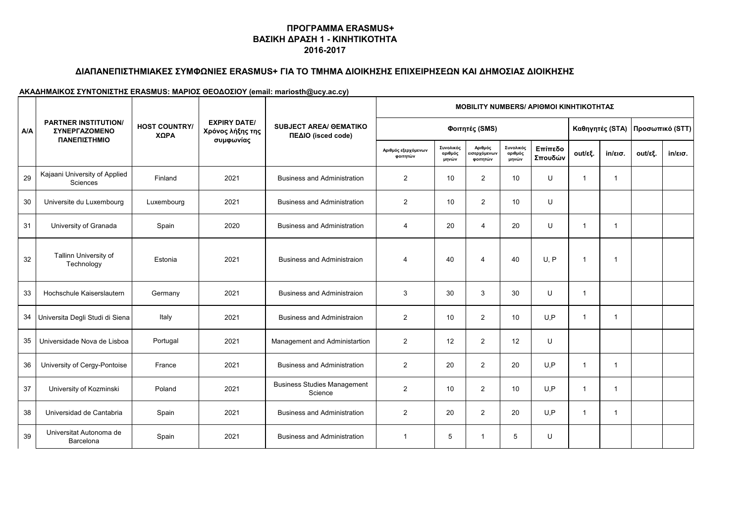# **ΔΙΑΠΑΝΕΠΙΣΤΗΜΙΑΚΕΣ ΣΥΜΦΩΝΙΕΣ ERASMUS+ ΓΙΑ ΤΟ ΤΜΗΜΑ ΔΙΟΙΚΗΣΗΣ ΕΠΙΧΕΙΡΗΣΕΩΝ ΚΑΙ ΔΗΜΟΣΙΑΣ ΔΙΟΙΚΗΣΗΣ**

|     | <b>PARTNER INSTITUTION/</b><br><b><i>ΣΥΝΕΡΓΑΖΟΜΕΝΟ</i></b><br>ΠΑΝΕΠΙΣΤΗΜΙΟ | <b>HOST COUNTRY/</b><br>ΧΩΡΑ |                                                      | <b>SUBJECT AREA/ OEMATIKO</b><br>ΠΕΔΙΟ (isced code) | <b>MOBILITY NUMBERS/ APIOMOI KINHTIKOTHTAZ</b> |                               |                                     |                               |                    |                |                   |         |                   |  |
|-----|----------------------------------------------------------------------------|------------------------------|------------------------------------------------------|-----------------------------------------------------|------------------------------------------------|-------------------------------|-------------------------------------|-------------------------------|--------------------|----------------|-------------------|---------|-------------------|--|
| A/A |                                                                            |                              | <b>EXPIRY DATE/</b><br>Χρόνος λήξης της<br>συμφωνίας |                                                     | Φοιτητές (SMS)<br>Καθηγητές (STA)              |                               |                                     |                               |                    |                | Προσωπικό (STT)   |         |                   |  |
|     |                                                                            |                              |                                                      |                                                     | Αριθμός εξερχόμενων<br>φοιτητών                | Συνολικός<br>αριθμός<br>μηνών | Αριθμός<br>εισερχόμενων<br>φοιτητών | Συνολικός<br>αριθμός<br>μηνών | Επίπεδο<br>Σπουδών | out/εξ.        | $in/\epsilon$ ισ. | out/εξ. | $in/\epsilon$ ισ. |  |
| 29  | Kajaani University of Applied<br>Sciences                                  | Finland                      | 2021                                                 | <b>Business and Administration</b>                  | $\overline{2}$                                 | 10                            | 2                                   | 10                            | U                  | $\overline{1}$ | $\mathbf{1}$      |         |                   |  |
| 30  | Universite du Luxembourg                                                   | Luxembourg                   | 2021                                                 | <b>Business and Administration</b>                  | $\overline{2}$                                 | 10                            | $\overline{2}$                      | 10                            | U                  |                |                   |         |                   |  |
| 31  | University of Granada                                                      | Spain                        | 2020                                                 | <b>Business and Administration</b>                  | 4                                              | 20                            | $\overline{4}$                      | 20                            | U                  | $\overline{1}$ | 1                 |         |                   |  |
| 32  | Tallinn University of<br>Technology                                        | Estonia                      | 2021                                                 | <b>Business and Administraion</b>                   | 4                                              | 40                            | $\overline{4}$                      | 40                            | U, P               | $\overline{1}$ | 1                 |         |                   |  |
| 33  | Hochschule Kaiserslautern                                                  | Germany                      | 2021                                                 | <b>Business and Administraion</b>                   | 3                                              | 30                            | 3                                   | 30                            | U                  | $\mathbf{1}$   |                   |         |                   |  |
|     | 34 Universita Degli Studi di Siena                                         | Italy                        | 2021                                                 | <b>Business and Administraion</b>                   | 2                                              | 10                            | $\overline{2}$                      | 10                            | U, P               | $\mathbf 1$    | $\mathbf{1}$      |         |                   |  |
| 35  | Universidade Nova de Lisboa                                                | Portugal                     | 2021                                                 | Management and Administartion                       | 2                                              | 12                            | 2                                   | 12                            | U                  |                |                   |         |                   |  |
| 36  | University of Cergy-Pontoise                                               | France                       | 2021                                                 | <b>Business and Administration</b>                  | 2                                              | 20                            | $\overline{2}$                      | 20                            | U, P               | $\overline{1}$ | $\mathbf{1}$      |         |                   |  |
| 37  | University of Kozminski                                                    | Poland                       | 2021                                                 | <b>Business Studies Management</b><br>Science       | 2                                              | 10                            | 2                                   | 10                            | U.P                | $\overline{1}$ | $\mathbf 1$       |         |                   |  |
| 38  | Universidad de Cantabria                                                   | Spain                        | 2021                                                 | <b>Business and Administration</b>                  | 2                                              | 20                            | $\overline{2}$                      | 20                            | U.P                | $\overline{1}$ | 1                 |         |                   |  |
| 39  | Universitat Autonoma de<br>Barcelona                                       | Spain                        | 2021                                                 | <b>Business and Administration</b>                  | 1                                              | 5                             |                                     | 5                             | U                  |                |                   |         |                   |  |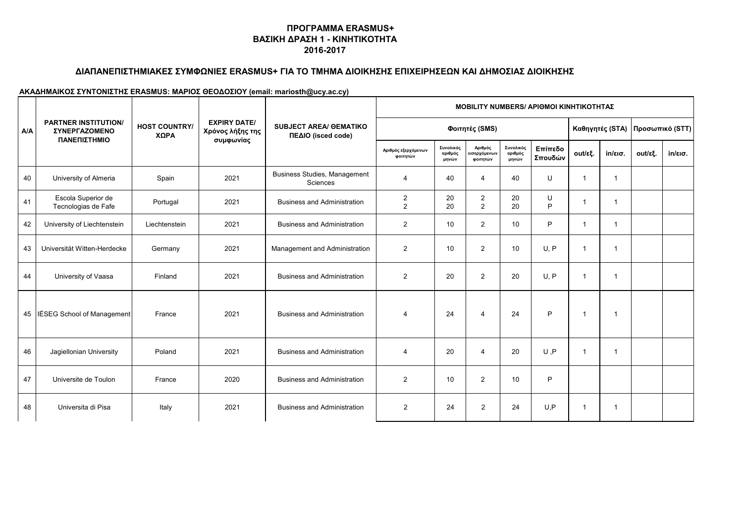# **ΔΙΑΠΑΝΕΠΙΣΤΗΜΙΑΚΕΣ ΣΥΜΦΩΝΙΕΣ ERASMUS+ ΓΙΑ ΤΟ ΤΜΗΜΑ ΔΙΟΙΚΗΣΗΣ ΕΠΙΧΕΙΡΗΣΕΩΝ ΚΑΙ ΔΗΜΟΣΙΑΣ ΔΙΟΙΚΗΣΗΣ**

|     | <b>PARTNER INSTITUTION/</b><br><b><i>EYNEPFAZOMENO</i></b><br>ΠΑΝΕΠΙΣΤΗΜΙΟ |                              |                                                      | <b>SUBJECT AREA/ OEMATIKO</b><br>ΠΕΔΙΟ (isced code) | <b>MOBILITY NUMBERS/ APIOMOI KINHTIKOTHTAZ</b> |                               |                                     |                               |                    |                |              |                                   |                   |  |
|-----|----------------------------------------------------------------------------|------------------------------|------------------------------------------------------|-----------------------------------------------------|------------------------------------------------|-------------------------------|-------------------------------------|-------------------------------|--------------------|----------------|--------------|-----------------------------------|-------------------|--|
| A/A |                                                                            | <b>HOST COUNTRY/</b><br>ΧΩΡΑ | <b>EXPIRY DATE/</b><br>Χρόνος λήξης της<br>συμφωνίας |                                                     |                                                | Φοιτητές (SMS)                |                                     |                               |                    |                |              | Καθηγητές (STA)   Προσωπικό (STT) |                   |  |
|     |                                                                            |                              |                                                      |                                                     | Αριθμός εξερχόμενων<br>φοιτητών                | Συνολικός<br>αριθμός<br>μηνών | Αριθμός<br>εισερχόμενων<br>φοιτητών | Συνολικός<br>αριθμός<br>μηνών | Επίπεδο<br>Σπουδών | out/εξ.        | in/εισ.      | out/εξ.                           | $in/\epsilon$ ισ. |  |
| 40  | University of Almeria                                                      | Spain                        | 2021                                                 | Business Studies, Management<br>Sciences            | 4                                              | 40                            | $\overline{\mathbf{4}}$             | 40                            | U                  | -1             | 1            |                                   |                   |  |
| 41  | Escola Superior de<br>Tecnologias de Fafe                                  | Portugal                     | 2021                                                 | <b>Business and Administration</b>                  | $\overline{c}$<br>$\overline{2}$               | 20<br>20                      | $\overline{c}$<br>2                 | 20<br>20                      | U<br>P             | $\mathbf 1$    | $\mathbf{1}$ |                                   |                   |  |
| 42  | University of Liechtenstein                                                | Liechtenstein                | 2021                                                 | <b>Business and Administration</b>                  | $\overline{2}$                                 | 10                            | 2                                   | 10                            | P                  | $\overline{1}$ | 1            |                                   |                   |  |
| 43  | Universität Witten-Herdecke                                                | Germany                      | 2021                                                 | Management and Administration                       | $\overline{2}$                                 | 10                            | 2                                   | 10                            | U.P                | -1             | -1           |                                   |                   |  |
| 44  | University of Vaasa                                                        | Finland                      | 2021                                                 | <b>Business and Administration</b>                  | $\overline{2}$                                 | 20                            | $\overline{2}$                      | 20                            | U, P               | $\mathbf 1$    | $\mathbf 1$  |                                   |                   |  |
|     | 45   IÉSEG School of Management                                            | France                       | 2021                                                 | <b>Business and Administration</b>                  | 4                                              | 24                            | $\overline{4}$                      | 24                            | P                  | $\overline{1}$ | 1            |                                   |                   |  |
| 46  | Jagiellonian University                                                    | Poland                       | 2021                                                 | <b>Business and Administration</b>                  | $\overline{\mathbf{4}}$                        | 20                            | $\overline{\mathbf{4}}$             | 20                            | U, P               | -1             | 1            |                                   |                   |  |
| 47  | Universite de Toulon                                                       | France                       | 2020                                                 | <b>Business and Administration</b>                  | 2                                              | 10                            | 2                                   | 10                            | P                  |                |              |                                   |                   |  |
| 48  | Universita di Pisa                                                         | Italy                        | 2021                                                 | <b>Business and Administration</b>                  | $\overline{2}$                                 | 24                            | $\overline{2}$                      | 24                            | U, P               | -1             | 1            |                                   |                   |  |